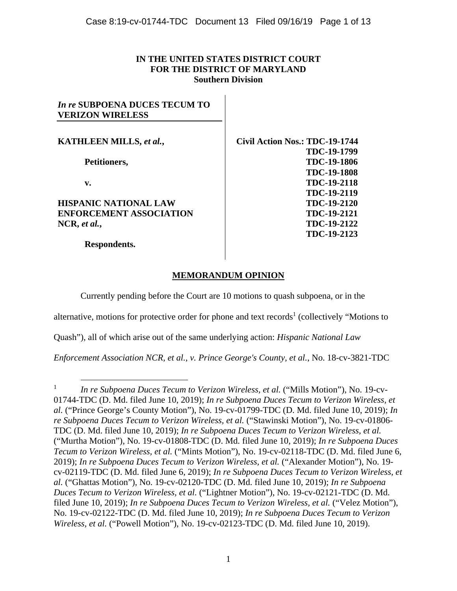## **IN THE UNITED STATES DISTRICT COURT FOR THE DISTRICT OF MARYLAND Southern Division**

## *In re* **SUBPOENA DUCES TECUM TO VERIZON WIRELESS**

**KATHLEEN MILLS,** *et al.***,** 

**Petitioners,** 

**v.** 

**HISPANIC NATIONAL LAW ENFORCEMENT ASSOCIATION NCR,** *et al.***,** 

**Respondents.** 

**Civil Action Nos.: TDC-19-1744 TDC-19-1799 TDC-19-1806 TDC-19-1808 TDC-19-2118 TDC-19-2119 TDC-19-2120 TDC-19-2121 TDC-19-2122 TDC-19-2123**

# **MEMORANDUM OPINION**

Currently pending before the Court are 10 motions to quash subpoena, or in the

alternative, motions for protective order for phone and text records<sup>1</sup> (collectively "Motions to

Quash"), all of which arise out of the same underlying action: *Hispanic National Law* 

*Enforcement Association NCR, et al., v. Prince George's County, et al.*, No. 18-cv-3821-TDC

 $\frac{1}{1}$ <sup>1</sup> *In re Subpoena Duces Tecum to Verizon Wireless, et al.* ("Mills Motion"), No. 19-cv-01744-TDC (D. Md. filed June 10, 2019); *In re Subpoena Duces Tecum to Verizon Wireless, et al.* ("Prince George's County Motion"), No. 19-cv-01799-TDC (D. Md. filed June 10, 2019); *In re Subpoena Duces Tecum to Verizon Wireless, et al.* ("Stawinski Motion"), No. 19-cv-01806- TDC (D. Md. filed June 10, 2019); *In re Subpoena Duces Tecum to Verizon Wireless, et al.*  ("Murtha Motion"), No. 19-cv-01808-TDC (D. Md. filed June 10, 2019); *In re Subpoena Duces Tecum to Verizon Wireless, et al.* ("Mints Motion"), No. 19-cv-02118-TDC (D. Md. filed June 6, 2019); *In re Subpoena Duces Tecum to Verizon Wireless, et al.* ("Alexander Motion"), No. 19cv-02119-TDC (D. Md. filed June 6, 2019); *In re Subpoena Duces Tecum to Verizon Wireless, et al.* ("Ghattas Motion"), No. 19-cv-02120-TDC (D. Md. filed June 10, 2019); *In re Subpoena Duces Tecum to Verizon Wireless, et al.* ("Lightner Motion"), No. 19-cv-02121-TDC (D. Md. filed June 10, 2019); *In re Subpoena Duces Tecum to Verizon Wireless, et al.* ("Velez Motion"), No. 19-cv-02122-TDC (D. Md. filed June 10, 2019); *In re Subpoena Duces Tecum to Verizon Wireless, et al.* ("Powell Motion"), No. 19-cv-02123-TDC (D. Md. filed June 10, 2019).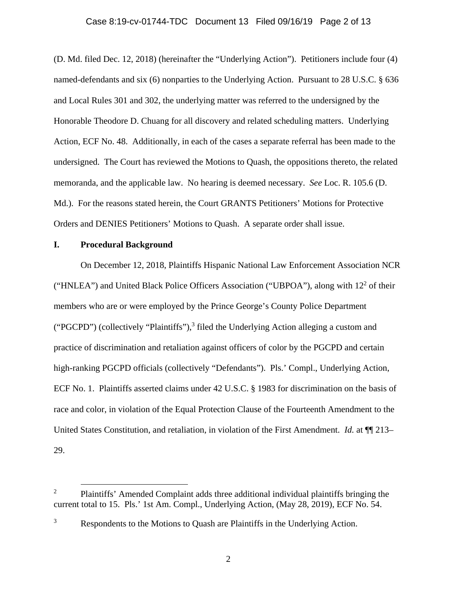### Case 8:19-cv-01744-TDC Document 13 Filed 09/16/19 Page 2 of 13

(D. Md. filed Dec. 12, 2018) (hereinafter the "Underlying Action"). Petitioners include four (4) named-defendants and six (6) nonparties to the Underlying Action. Pursuant to 28 U.S.C. § 636 and Local Rules 301 and 302, the underlying matter was referred to the undersigned by the Honorable Theodore D. Chuang for all discovery and related scheduling matters.Underlying Action, ECF No. 48. Additionally, in each of the cases a separate referral has been made to the undersigned. The Court has reviewed the Motions to Quash, the oppositions thereto, the related memoranda, and the applicable law. No hearing is deemed necessary. *See* Loc. R. 105.6 (D. Md.). For the reasons stated herein, the Court GRANTS Petitioners' Motions for Protective Orders and DENIES Petitioners' Motions to Quash. A separate order shall issue.

#### **I. Procedural Background**

On December 12, 2018, Plaintiffs Hispanic National Law Enforcement Association NCR ("HNLEA") and United Black Police Officers Association ("UBPOA"), along with  $12<sup>2</sup>$  of their members who are or were employed by the Prince George's County Police Department ("PGCPD") (collectively "Plaintiffs"), $3$  filed the Underlying Action alleging a custom and practice of discrimination and retaliation against officers of color by the PGCPD and certain high-ranking PGCPD officials (collectively "Defendants"). Pls.' Compl., Underlying Action, ECF No. 1. Plaintiffs asserted claims under 42 U.S.C. § 1983 for discrimination on the basis of race and color, in violation of the Equal Protection Clause of the Fourteenth Amendment to the United States Constitution, and retaliation, in violation of the First Amendment. *Id.* at ¶¶ 213– 29.

 $\frac{1}{2}$  $P<sup>2</sup>$  Plaintiffs' Amended Complaint adds three additional individual plaintiffs bringing the current total to 15. Pls.' 1st Am. Compl., Underlying Action, (May 28, 2019), ECF No. 54.

<sup>3</sup> Respondents to the Motions to Quash are Plaintiffs in the Underlying Action.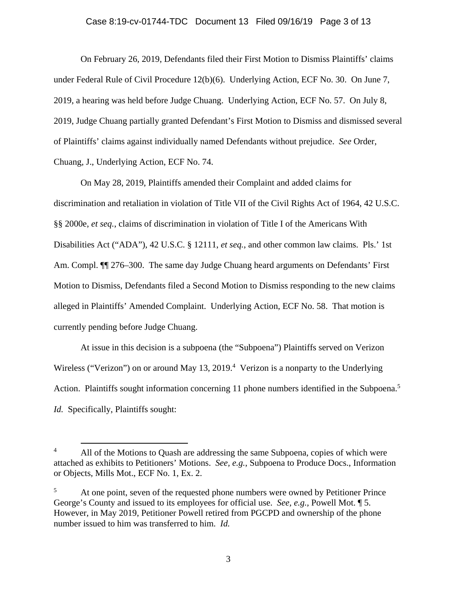#### Case 8:19-cv-01744-TDC Document 13 Filed 09/16/19 Page 3 of 13

On February 26, 2019, Defendants filed their First Motion to Dismiss Plaintiffs' claims under Federal Rule of Civil Procedure 12(b)(6). Underlying Action, ECF No. 30. On June 7, 2019, a hearing was held before Judge Chuang. Underlying Action, ECF No. 57. On July 8, 2019, Judge Chuang partially granted Defendant's First Motion to Dismiss and dismissed several of Plaintiffs' claims against individually named Defendants without prejudice. *See* Order, Chuang, J., Underlying Action, ECF No. 74.

On May 28, 2019, Plaintiffs amended their Complaint and added claims for discrimination and retaliation in violation of Title VII of the Civil Rights Act of 1964, 42 U.S.C. §§ 2000e, *et seq.*, claims of discrimination in violation of Title I of the Americans With Disabilities Act ("ADA"), 42 U.S.C. § 12111, *et seq.*, and other common law claims. Pls.' 1st Am. Compl. ¶¶ 276–300.The same day Judge Chuang heard arguments on Defendants' First Motion to Dismiss, Defendants filed a Second Motion to Dismiss responding to the new claims alleged in Plaintiffs' Amended Complaint. Underlying Action, ECF No. 58. That motion is currently pending before Judge Chuang.

At issue in this decision is a subpoena (the "Subpoena") Plaintiffs served on Verizon Wireless ("Verizon") on or around May 13, 2019.<sup>4</sup> Verizon is a nonparty to the Underlying Action. Plaintiffs sought information concerning 11 phone numbers identified in the Subpoena.<sup>5</sup> *Id.* Specifically, Plaintiffs sought:

 $4$ <sup>4</sup> All of the Motions to Quash are addressing the same Subpoena, copies of which were attached as exhibits to Petitioners' Motions. *See, e.g.*, Subpoena to Produce Docs., Information or Objects, Mills Mot., ECF No. 1, Ex. 2.

<sup>5</sup> At one point, seven of the requested phone numbers were owned by Petitioner Prince George's County and issued to its employees for official use. *See, e.g.,* Powell Mot. ¶ 5. However, in May 2019, Petitioner Powell retired from PGCPD and ownership of the phone number issued to him was transferred to him. *Id.*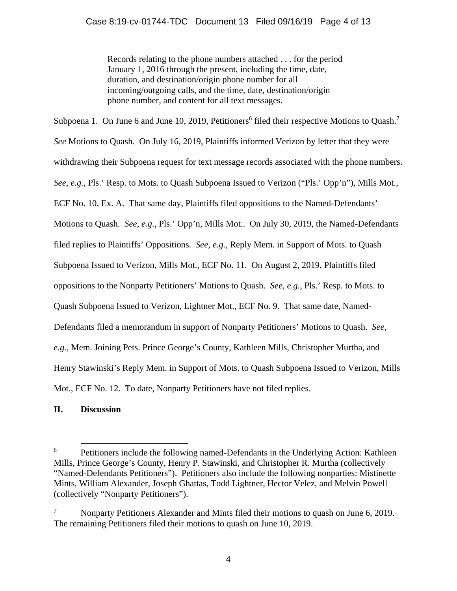Records relating to the phone numbers attached . . . for the period January 1, 2016 through the present, including the time, date, duration, and destination/origin phone number for all incoming/outgoing calls, and the time, date, destination/origin phone number, and content for all text messages.

Subpoena 1. On June 6 and June 10, 2019, Petitioners<sup>6</sup> filed their respective Motions to Quash.<sup>7</sup> *See* Motions to Quash. On July 16, 2019, Plaintiffs informed Verizon by letter that they were withdrawing their Subpoena request for text message records associated with the phone numbers. *See, e.g.*, Pls.' Resp. to Mots. to Quash Subpoena Issued to Verizon ("Pls.' Opp'n"), Mills Mot., ECF No. 10, Ex. A. That same day, Plaintiffs filed oppositions to the Named-Defendants' Motions to Quash. *See, e.g.*, Pls.' Opp'n, Mills Mot.. On July 30, 2019, the Named-Defendants filed replies to Plaintiffs' Oppositions. *See, e.g.*, Reply Mem. in Support of Mots. to Quash Subpoena Issued to Verizon, Mills Mot., ECF No. 11. On August 2, 2019, Plaintiffs filed oppositions to the Nonparty Petitioners' Motions to Quash. *See, e.g.*, Pls.' Resp. to Mots. to Quash Subpoena Issued to Verizon, Lightner Mot., ECF No. 9. That same date, Named-Defendants filed a memorandum in support of Nonparty Petitioners' Motions to Quash. *See, e.g.*, Mem. Joining Pets. Prince George's County, Kathleen Mills, Christopher Murtha, and Henry Stawinski's Reply Mem. in Support of Mots. to Quash Subpoena Issued to Verizon, Mills Mot., ECF No. 12. To date, Nonparty Petitioners have not filed replies.

## **II. Discussion**

 $\begin{array}{ccc}\n6 & & & 1\n\end{array}$ <sup>6</sup> Petitioners include the following named-Defendants in the Underlying Action: Kathleen Mills, Prince George's County, Henry P. Stawinski, and Christopher R. Murtha (collectively "Named-Defendants Petitioners"). Petitioners also include the following nonparties: Mistinette Mints, William Alexander, Joseph Ghattas, Todd Lightner, Hector Velez, and Melvin Powell (collectively "Nonparty Petitioners").

<sup>7</sup> Nonparty Petitioners Alexander and Mints filed their motions to quash on June 6, 2019. The remaining Petitioners filed their motions to quash on June 10, 2019.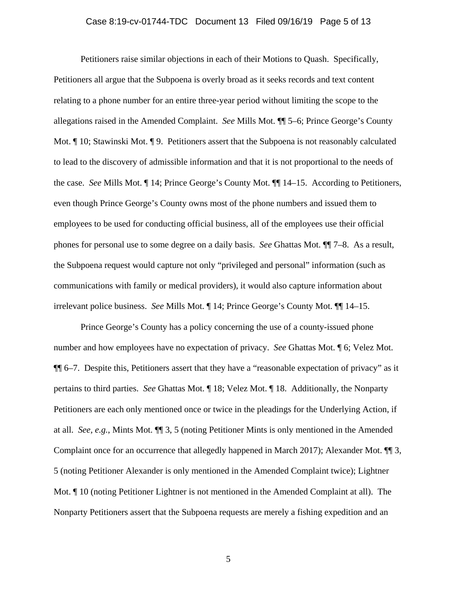### Case 8:19-cv-01744-TDC Document 13 Filed 09/16/19 Page 5 of 13

Petitioners raise similar objections in each of their Motions to Quash. Specifically, Petitioners all argue that the Subpoena is overly broad as it seeks records and text content relating to a phone number for an entire three-year period without limiting the scope to the allegations raised in the Amended Complaint. *See* Mills Mot. ¶¶ 5–6; Prince George's County Mot.  $\parallel$  10; Stawinski Mot.  $\parallel$  9. Petitioners assert that the Subpoena is not reasonably calculated to lead to the discovery of admissible information and that it is not proportional to the needs of the case. *See* Mills Mot. ¶ 14; Prince George's County Mot. ¶¶ 14–15. According to Petitioners, even though Prince George's County owns most of the phone numbers and issued them to employees to be used for conducting official business, all of the employees use their official phones for personal use to some degree on a daily basis. *See* Ghattas Mot. ¶¶ 7–8. As a result, the Subpoena request would capture not only "privileged and personal" information (such as communications with family or medical providers), it would also capture information about irrelevant police business. *See* Mills Mot. ¶ 14; Prince George's County Mot. ¶¶ 14–15.

Prince George's County has a policy concerning the use of a county-issued phone number and how employees have no expectation of privacy. *See* Ghattas Mot. ¶ 6; Velez Mot. ¶¶ 6–7. Despite this, Petitioners assert that they have a "reasonable expectation of privacy" as it pertains to third parties. *See* Ghattas Mot. ¶ 18; Velez Mot. ¶ 18. Additionally, the Nonparty Petitioners are each only mentioned once or twice in the pleadings for the Underlying Action, if at all. *See, e.g.*, Mints Mot. ¶¶ 3, 5 (noting Petitioner Mints is only mentioned in the Amended Complaint once for an occurrence that allegedly happened in March 2017); Alexander Mot. ¶¶ 3, 5 (noting Petitioner Alexander is only mentioned in the Amended Complaint twice); Lightner Mot. ¶ 10 (noting Petitioner Lightner is not mentioned in the Amended Complaint at all). The Nonparty Petitioners assert that the Subpoena requests are merely a fishing expedition and an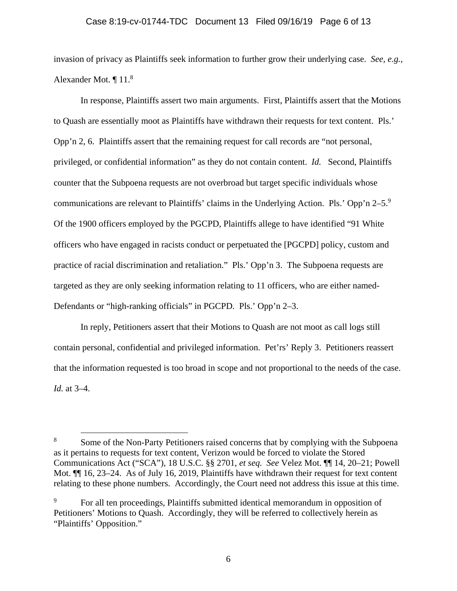#### Case 8:19-cv-01744-TDC Document 13 Filed 09/16/19 Page 6 of 13

invasion of privacy as Plaintiffs seek information to further grow their underlying case. *See, e.g.*, Alexander Mot. ¶ 11.8

In response, Plaintiffs assert two main arguments. First, Plaintiffs assert that the Motions to Quash are essentially moot as Plaintiffs have withdrawn their requests for text content. Pls.' Opp'n 2, 6. Plaintiffs assert that the remaining request for call records are "not personal, privileged, or confidential information" as they do not contain content. *Id.* Second, Plaintiffs counter that the Subpoena requests are not overbroad but target specific individuals whose communications are relevant to Plaintiffs' claims in the Underlying Action. Pls.' Opp'n  $2-5$ .<sup>9</sup> Of the 1900 officers employed by the PGCPD, Plaintiffs allege to have identified "91 White officers who have engaged in racists conduct or perpetuated the [PGCPD] policy, custom and practice of racial discrimination and retaliation." Pls.' Opp'n 3. The Subpoena requests are targeted as they are only seeking information relating to 11 officers, who are either named-Defendants or "high-ranking officials" in PGCPD. Pls.' Opp'n 2–3.

In reply, Petitioners assert that their Motions to Quash are not moot as call logs still contain personal, confidential and privileged information. Pet'rs' Reply 3. Petitioners reassert that the information requested is too broad in scope and not proportional to the needs of the case. *Id.* at 3–4.

 $\frac{1}{8}$ <sup>8</sup> Some of the Non-Party Petitioners raised concerns that by complying with the Subpoena as it pertains to requests for text content, Verizon would be forced to violate the Stored Communications Act ("SCA"), 18 U.S.C. §§ 2701, *et seq. See* Velez Mot. ¶¶ 14, 20–21; Powell Mot.  $\P$  16, 23–24. As of July 16, 2019, Plaintiffs have withdrawn their request for text content relating to these phone numbers. Accordingly, the Court need not address this issue at this time.

<sup>9</sup> For all ten proceedings, Plaintiffs submitted identical memorandum in opposition of Petitioners' Motions to Quash. Accordingly, they will be referred to collectively herein as "Plaintiffs' Opposition."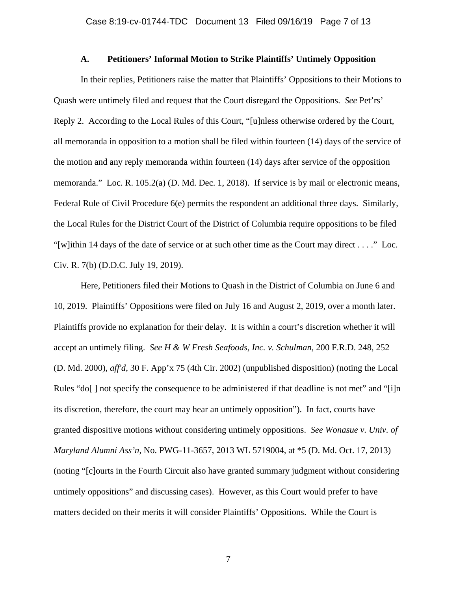#### **A. Petitioners' Informal Motion to Strike Plaintiffs' Untimely Opposition**

In their replies, Petitioners raise the matter that Plaintiffs' Oppositions to their Motions to Quash were untimely filed and request that the Court disregard the Oppositions. *See* Pet'rs' Reply 2. According to the Local Rules of this Court, "[u]nless otherwise ordered by the Court, all memoranda in opposition to a motion shall be filed within fourteen (14) days of the service of the motion and any reply memoranda within fourteen (14) days after service of the opposition memoranda." Loc. R. 105.2(a) (D. Md. Dec. 1, 2018). If service is by mail or electronic means, Federal Rule of Civil Procedure 6(e) permits the respondent an additional three days. Similarly, the Local Rules for the District Court of the District of Columbia require oppositions to be filed "[w]ithin 14 days of the date of service or at such other time as the Court may direct . . . ." Loc. Civ. R. 7(b) (D.D.C. July 19, 2019).

Here, Petitioners filed their Motions to Quash in the District of Columbia on June 6 and 10, 2019. Plaintiffs' Oppositions were filed on July 16 and August 2, 2019, over a month later. Plaintiffs provide no explanation for their delay. It is within a court's discretion whether it will accept an untimely filing. *See H & W Fresh Seafoods, Inc. v. Schulman*, 200 F.R.D. 248, 252 (D. Md. 2000), *aff'd*, 30 F. App'x 75 (4th Cir. 2002) (unpublished disposition) (noting the Local Rules "do[] not specify the consequence to be administered if that deadline is not met" and "[i]n its discretion, therefore, the court may hear an untimely opposition"). In fact, courts have granted dispositive motions without considering untimely oppositions. *See Wonasue v. Univ. of Maryland Alumni Ass'n*, No. PWG-11-3657, 2013 WL 5719004, at \*5 (D. Md. Oct. 17, 2013) (noting "[c]ourts in the Fourth Circuit also have granted summary judgment without considering untimely oppositions" and discussing cases). However, as this Court would prefer to have matters decided on their merits it will consider Plaintiffs' Oppositions. While the Court is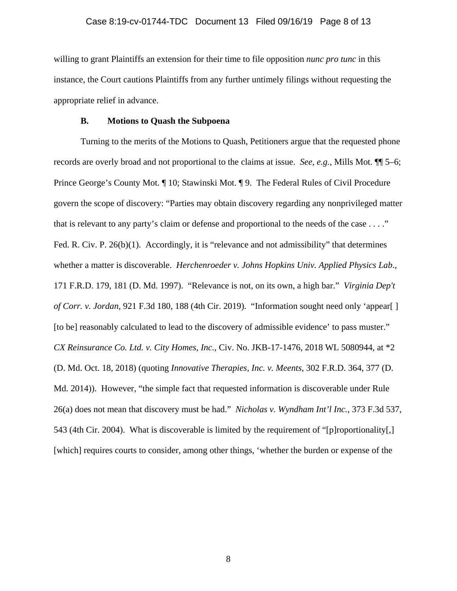willing to grant Plaintiffs an extension for their time to file opposition *nunc pro tunc* in this instance, the Court cautions Plaintiffs from any further untimely filings without requesting the appropriate relief in advance.

#### **B. Motions to Quash the Subpoena**

Turning to the merits of the Motions to Quash, Petitioners argue that the requested phone records are overly broad and not proportional to the claims at issue. *See, e.g.*, Mills Mot. ¶¶ 5–6; Prince George's County Mot. ¶ 10; Stawinski Mot. ¶ 9. The Federal Rules of Civil Procedure govern the scope of discovery: "Parties may obtain discovery regarding any nonprivileged matter that is relevant to any party's claim or defense and proportional to the needs of the case . . . ." Fed. R. Civ. P. 26(b)(1). Accordingly, it is "relevance and not admissibility" that determines whether a matter is discoverable. *Herchenroeder v. Johns Hopkins Univ. Applied Physics Lab*., 171 F.R.D. 179, 181 (D. Md. 1997). "Relevance is not, on its own, a high bar." *Virginia Dep't of Corr. v. Jordan*, 921 F.3d 180, 188 (4th Cir. 2019). "Information sought need only 'appear[ ] [to be] reasonably calculated to lead to the discovery of admissible evidence' to pass muster." *CX Reinsurance Co. Ltd. v. City Homes, Inc.*, Civ. No. JKB-17-1476, 2018 WL 5080944, at \*2 (D. Md. Oct. 18, 2018) (quoting *Innovative Therapies, Inc. v. Meents*, 302 F.R.D. 364, 377 (D. Md. 2014)). However, "the simple fact that requested information is discoverable under Rule 26(a) does not mean that discovery must be had." *Nicholas v. Wyndham Int'l Inc.*, 373 F.3d 537, 543 (4th Cir. 2004). What is discoverable is limited by the requirement of "[p]roportionality[,] [which] requires courts to consider, among other things, 'whether the burden or expense of the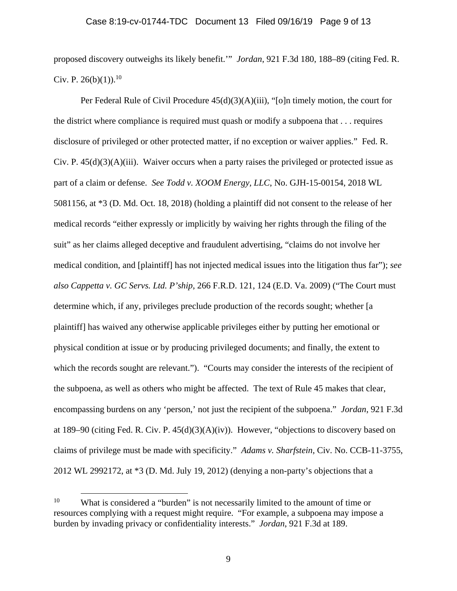proposed discovery outweighs its likely benefit.'" *Jordan*, 921 F.3d 180, 188–89 (citing Fed. R. Civ. P.  $26(b)(1)$ .<sup>10</sup>

Per Federal Rule of Civil Procedure  $45(d)(3)(A)(iii)$ , "[o]n timely motion, the court for the district where compliance is required must quash or modify a subpoena that . . . requires disclosure of privileged or other protected matter, if no exception or waiver applies." Fed. R. Civ. P.  $45(d)(3)(A)(iii)$ . Waiver occurs when a party raises the privileged or protected issue as part of a claim or defense. *See Todd v. XOOM Energy, LLC*, No. GJH-15-00154, 2018 WL 5081156, at \*3 (D. Md. Oct. 18, 2018) (holding a plaintiff did not consent to the release of her medical records "either expressly or implicitly by waiving her rights through the filing of the suit" as her claims alleged deceptive and fraudulent advertising, "claims do not involve her medical condition, and [plaintiff] has not injected medical issues into the litigation thus far"); *see also Cappetta v. GC Servs. Ltd. P'ship*, 266 F.R.D. 121, 124 (E.D. Va. 2009) ("The Court must determine which, if any, privileges preclude production of the records sought; whether [a plaintiff] has waived any otherwise applicable privileges either by putting her emotional or physical condition at issue or by producing privileged documents; and finally, the extent to which the records sought are relevant."). "Courts may consider the interests of the recipient of the subpoena, as well as others who might be affected. The text of Rule 45 makes that clear, encompassing burdens on any 'person,' not just the recipient of the subpoena." *Jordan*, 921 F.3d at 189–90 (citing Fed. R. Civ. P.  $45(d)(3)(A)(iv)$ ). However, "objections to discovery based on claims of privilege must be made with specificity." *Adams v. Sharfstein*, Civ. No. CCB-11-3755, 2012 WL 2992172, at \*3 (D. Md. July 19, 2012) (denying a non-party's objections that a

<sup>&</sup>lt;sup>10</sup> What is considered a "burden" is not necessarily limited to the amount of time or resources complying with a request might require. "For example, a subpoena may impose a burden by invading privacy or confidentiality interests." *Jordan*, 921 F.3d at 189.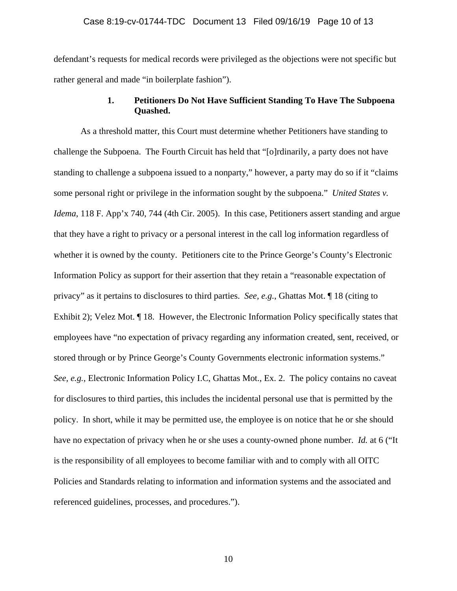defendant's requests for medical records were privileged as the objections were not specific but rather general and made "in boilerplate fashion").

## **1. Petitioners Do Not Have Sufficient Standing To Have The Subpoena Quashed.**

As a threshold matter, this Court must determine whether Petitioners have standing to challenge the Subpoena. The Fourth Circuit has held that "[o]rdinarily, a party does not have standing to challenge a subpoena issued to a nonparty," however, a party may do so if it "claims some personal right or privilege in the information sought by the subpoena." *United States v. Idema*, 118 F. App'x 740, 744 (4th Cir. 2005). In this case, Petitioners assert standing and argue that they have a right to privacy or a personal interest in the call log information regardless of whether it is owned by the county. Petitioners cite to the Prince George's County's Electronic Information Policy as support for their assertion that they retain a "reasonable expectation of privacy" as it pertains to disclosures to third parties. *See, e.g.*, Ghattas Mot. ¶ 18 (citing to Exhibit 2); Velez Mot. ¶ 18. However, the Electronic Information Policy specifically states that employees have "no expectation of privacy regarding any information created, sent, received, or stored through or by Prince George's County Governments electronic information systems." *See, e.g.*, Electronic Information Policy I.C, Ghattas Mot., Ex. 2. The policy contains no caveat for disclosures to third parties, this includes the incidental personal use that is permitted by the policy. In short, while it may be permitted use, the employee is on notice that he or she should have no expectation of privacy when he or she uses a county-owned phone number. *Id.* at 6 ("It is the responsibility of all employees to become familiar with and to comply with all OITC Policies and Standards relating to information and information systems and the associated and referenced guidelines, processes, and procedures.").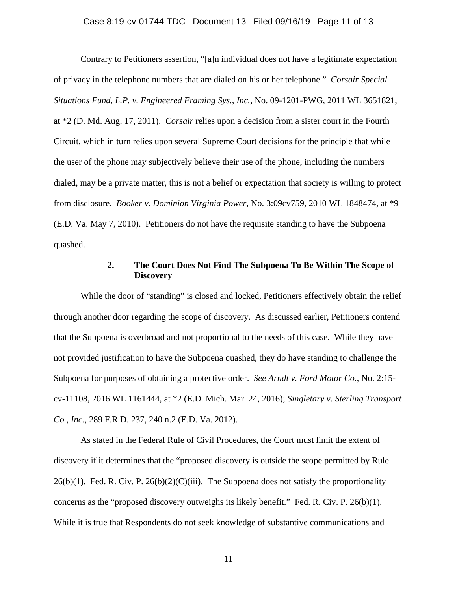Contrary to Petitioners assertion, "[a]n individual does not have a legitimate expectation of privacy in the telephone numbers that are dialed on his or her telephone." *Corsair Special Situations Fund, L.P. v. Engineered Framing Sys., Inc.*, No. 09-1201-PWG, 2011 WL 3651821, at \*2 (D. Md. Aug. 17, 2011). *Corsair* relies upon a decision from a sister court in the Fourth Circuit, which in turn relies upon several Supreme Court decisions for the principle that while the user of the phone may subjectively believe their use of the phone, including the numbers dialed, may be a private matter, this is not a belief or expectation that society is willing to protect from disclosure. *Booker v. Dominion Virginia Power*, No. 3:09cv759, 2010 WL 1848474, at \*9 (E.D. Va. May 7, 2010). Petitioners do not have the requisite standing to have the Subpoena quashed.

### **2. The Court Does Not Find The Subpoena To Be Within The Scope of Discovery**

While the door of "standing" is closed and locked, Petitioners effectively obtain the relief through another door regarding the scope of discovery. As discussed earlier, Petitioners contend that the Subpoena is overbroad and not proportional to the needs of this case. While they have not provided justification to have the Subpoena quashed, they do have standing to challenge the Subpoena for purposes of obtaining a protective order. *See Arndt v. Ford Motor Co.*, No. 2:15 cv-11108, 2016 WL 1161444, at \*2 (E.D. Mich. Mar. 24, 2016); *Singletary v. Sterling Transport Co., Inc.*, 289 F.R.D. 237, 240 n.2 (E.D. Va. 2012).

As stated in the Federal Rule of Civil Procedures, the Court must limit the extent of discovery if it determines that the "proposed discovery is outside the scope permitted by Rule  $26(b)(1)$ . Fed. R. Civ. P.  $26(b)(2)(C)(iii)$ . The Subpoena does not satisfy the proportionality concerns as the "proposed discovery outweighs its likely benefit." Fed. R. Civ. P.  $26(b)(1)$ . While it is true that Respondents do not seek knowledge of substantive communications and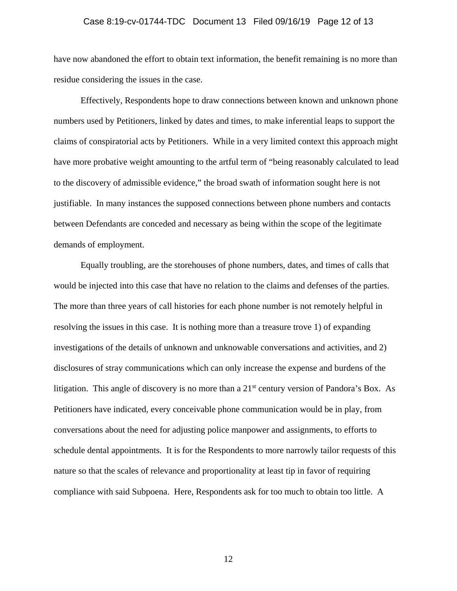#### Case 8:19-cv-01744-TDC Document 13 Filed 09/16/19 Page 12 of 13

have now abandoned the effort to obtain text information, the benefit remaining is no more than residue considering the issues in the case.

Effectively, Respondents hope to draw connections between known and unknown phone numbers used by Petitioners, linked by dates and times, to make inferential leaps to support the claims of conspiratorial acts by Petitioners. While in a very limited context this approach might have more probative weight amounting to the artful term of "being reasonably calculated to lead to the discovery of admissible evidence," the broad swath of information sought here is not justifiable. In many instances the supposed connections between phone numbers and contacts between Defendants are conceded and necessary as being within the scope of the legitimate demands of employment.

Equally troubling, are the storehouses of phone numbers, dates, and times of calls that would be injected into this case that have no relation to the claims and defenses of the parties. The more than three years of call histories for each phone number is not remotely helpful in resolving the issues in this case. It is nothing more than a treasure trove 1) of expanding investigations of the details of unknown and unknowable conversations and activities, and 2) disclosures of stray communications which can only increase the expense and burdens of the litigation. This angle of discovery is no more than a  $21<sup>st</sup>$  century version of Pandora's Box. As Petitioners have indicated, every conceivable phone communication would be in play, from conversations about the need for adjusting police manpower and assignments, to efforts to schedule dental appointments. It is for the Respondents to more narrowly tailor requests of this nature so that the scales of relevance and proportionality at least tip in favor of requiring compliance with said Subpoena. Here, Respondents ask for too much to obtain too little. A